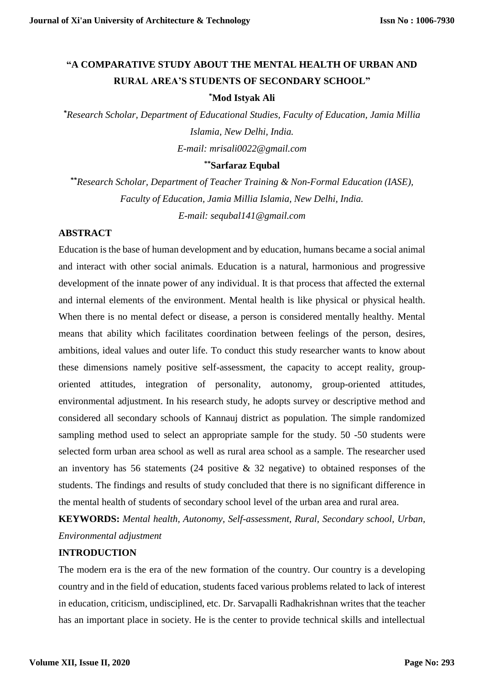# **"A COMPARATIVE STUDY ABOUT THE MENTAL HEALTH OF URBAN AND RURAL AREA'S STUDENTS OF SECONDARY SCHOOL"**

#### **\*Mod Istyak Ali**

*\*Research Scholar, Department of Educational Studies, Faculty of Education, Jamia Millia Islamia, New Delhi, India. E-mail: mrisali0022@gmail.com*

#### **\*\*Sarfaraz Equbal**

*\*\*Research Scholar, Department of Teacher Training & Non-Formal Education (IASE), Faculty of Education, Jamia Millia Islamia, New Delhi, India. E-mail: sequbal141@gmail.com*

# **ABSTRACT**

Education is the base of human development and by education, humans became a social animal and interact with other social animals. Education is a natural, harmonious and progressive development of the innate power of any individual. It is that process that affected the external and internal elements of the environment. Mental health is like physical or physical health. When there is no mental defect or disease, a person is considered mentally healthy. Mental means that ability which facilitates coordination between feelings of the person, desires, ambitions, ideal values and outer life. To conduct this study researcher wants to know about these dimensions namely positive self-assessment, the capacity to accept reality, grouporiented attitudes, integration of personality, autonomy, group-oriented attitudes, environmental adjustment. In his research study, he adopts survey or descriptive method and considered all secondary schools of Kannauj district as population. The simple randomized sampling method used to select an appropriate sample for the study. 50 -50 students were selected form urban area school as well as rural area school as a sample. The researcher used an inventory has 56 statements (24 positive & 32 negative) to obtained responses of the students. The findings and results of study concluded that there is no significant difference in the mental health of students of secondary school level of the urban area and rural area.

**KEYWORDS:** *Mental health, Autonomy, Self-assessment, Rural, Secondary school, Urban, Environmental adjustment*

# **INTRODUCTION**

The modern era is the era of the new formation of the country. Our country is a developing country and in the field of education, students faced various problems related to lack of interest in education, criticism, undisciplined, etc. Dr. Sarvapalli Radhakrishnan writes that the teacher has an important place in society. He is the center to provide technical skills and intellectual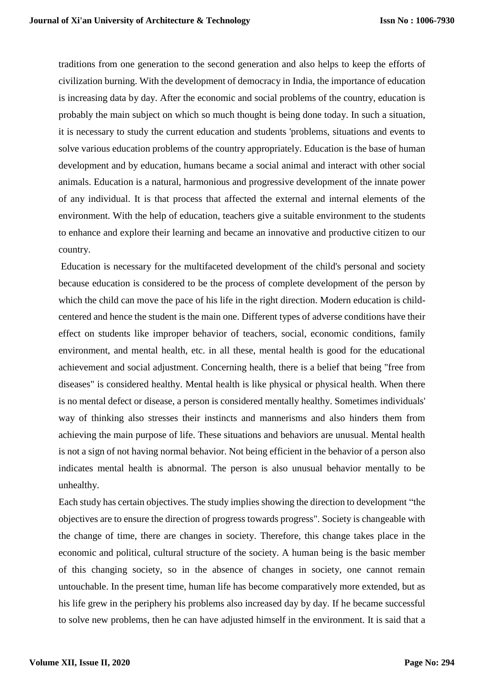traditions from one generation to the second generation and also helps to keep the efforts of civilization burning. With the development of democracy in India, the importance of education is increasing data by day. After the economic and social problems of the country, education is probably the main subject on which so much thought is being done today. In such a situation, it is necessary to study the current education and students 'problems, situations and events to solve various education problems of the country appropriately. Education is the base of human development and by education, humans became a social animal and interact with other social animals. Education is a natural, harmonious and progressive development of the innate power of any individual. It is that process that affected the external and internal elements of the environment. With the help of education, teachers give a suitable environment to the students to enhance and explore their learning and became an innovative and productive citizen to our country.

Education is necessary for the multifaceted development of the child's personal and society because education is considered to be the process of complete development of the person by which the child can move the pace of his life in the right direction. Modern education is childcentered and hence the student is the main one. Different types of adverse conditions have their effect on students like improper behavior of teachers, social, economic conditions, family environment, and mental health, etc. in all these, mental health is good for the educational achievement and social adjustment. Concerning health, there is a belief that being "free from diseases" is considered healthy. Mental health is like physical or physical health. When there is no mental defect or disease, a person is considered mentally healthy. Sometimes individuals' way of thinking also stresses their instincts and mannerisms and also hinders them from achieving the main purpose of life. These situations and behaviors are unusual. Mental health is not a sign of not having normal behavior. Not being efficient in the behavior of a person also indicates mental health is abnormal. The person is also unusual behavior mentally to be unhealthy.

Each study has certain objectives. The study implies showing the direction to development "the objectives are to ensure the direction of progress towards progress". Society is changeable with the change of time, there are changes in society. Therefore, this change takes place in the economic and political, cultural structure of the society. A human being is the basic member of this changing society, so in the absence of changes in society, one cannot remain untouchable. In the present time, human life has become comparatively more extended, but as his life grew in the periphery his problems also increased day by day. If he became successful to solve new problems, then he can have adjusted himself in the environment. It is said that a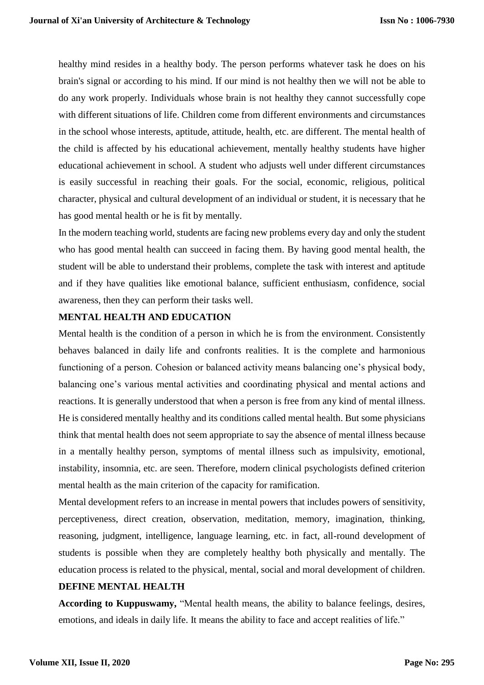healthy mind resides in a healthy body. The person performs whatever task he does on his brain's signal or according to his mind. If our mind is not healthy then we will not be able to do any work properly. Individuals whose brain is not healthy they cannot successfully cope with different situations of life. Children come from different environments and circumstances in the school whose interests, aptitude, attitude, health, etc. are different. The mental health of the child is affected by his educational achievement, mentally healthy students have higher educational achievement in school. A student who adjusts well under different circumstances is easily successful in reaching their goals. For the social, economic, religious, political character, physical and cultural development of an individual or student, it is necessary that he has good mental health or he is fit by mentally.

In the modern teaching world, students are facing new problems every day and only the student who has good mental health can succeed in facing them. By having good mental health, the student will be able to understand their problems, complete the task with interest and aptitude and if they have qualities like emotional balance, sufficient enthusiasm, confidence, social awareness, then they can perform their tasks well.

# **MENTAL HEALTH AND EDUCATION**

Mental health is the condition of a person in which he is from the environment. Consistently behaves balanced in daily life and confronts realities. It is the complete and harmonious functioning of a person. Cohesion or balanced activity means balancing one's physical body, balancing one's various mental activities and coordinating physical and mental actions and reactions. It is generally understood that when a person is free from any kind of mental illness. He is considered mentally healthy and its conditions called mental health. But some physicians think that mental health does not seem appropriate to say the absence of mental illness because in a mentally healthy person, symptoms of mental illness such as impulsivity, emotional, instability, insomnia, etc. are seen. Therefore, modern clinical psychologists defined criterion mental health as the main criterion of the capacity for ramification.

Mental development refers to an increase in mental powers that includes powers of sensitivity, perceptiveness, direct creation, observation, meditation, memory, imagination, thinking, reasoning, judgment, intelligence, language learning, etc. in fact, all-round development of students is possible when they are completely healthy both physically and mentally. The education process is related to the physical, mental, social and moral development of children.

#### **DEFINE MENTAL HEALTH**

**According to Kuppuswamy,** "Mental health means, the ability to balance feelings, desires, emotions, and ideals in daily life. It means the ability to face and accept realities of life."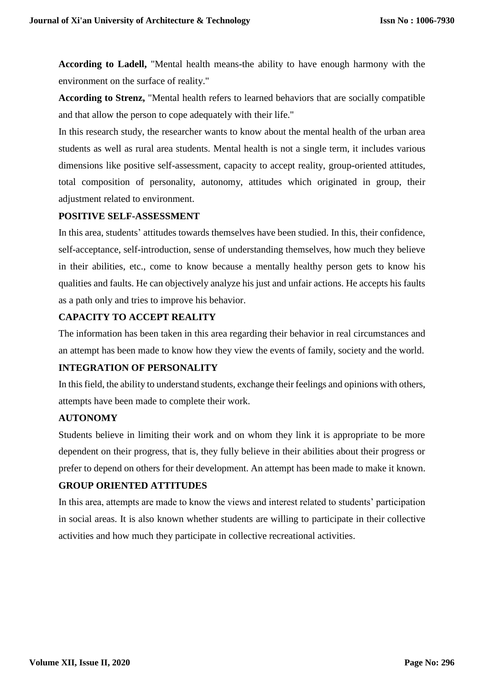**According to Ladell,** "Mental health means-the ability to have enough harmony with the environment on the surface of reality."

**According to Strenz,** "Mental health refers to learned behaviors that are socially compatible and that allow the person to cope adequately with their life."

In this research study, the researcher wants to know about the mental health of the urban area students as well as rural area students. Mental health is not a single term, it includes various dimensions like positive self-assessment, capacity to accept reality, group-oriented attitudes, total composition of personality, autonomy, attitudes which originated in group, their adjustment related to environment.

# **POSITIVE SELF-ASSESSMENT**

In this area, students' attitudes towards themselves have been studied. In this, their confidence, self-acceptance, self-introduction, sense of understanding themselves, how much they believe in their abilities, etc., come to know because a mentally healthy person gets to know his qualities and faults. He can objectively analyze his just and unfair actions. He accepts his faults as a path only and tries to improve his behavior.

# **CAPACITY TO ACCEPT REALITY**

The information has been taken in this area regarding their behavior in real circumstances and an attempt has been made to know how they view the events of family, society and the world.

# **INTEGRATION OF PERSONALITY**

In this field, the ability to understand students, exchange their feelings and opinions with others, attempts have been made to complete their work.

# **AUTONOMY**

Students believe in limiting their work and on whom they link it is appropriate to be more dependent on their progress, that is, they fully believe in their abilities about their progress or prefer to depend on others for their development. An attempt has been made to make it known. **GROUP ORIENTED ATTITUDES**

# In this area, attempts are made to know the views and interest related to students' participation in social areas. It is also known whether students are willing to participate in their collective activities and how much they participate in collective recreational activities.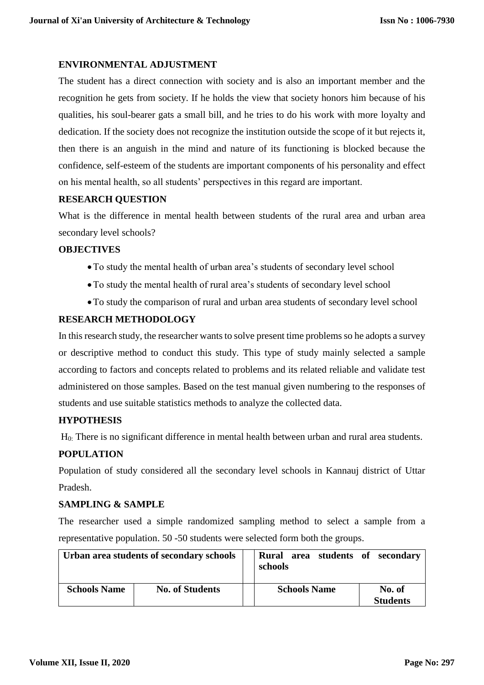# **ENVIRONMENTAL ADJUSTMENT**

The student has a direct connection with society and is also an important member and the recognition he gets from society. If he holds the view that society honors him because of his qualities, his soul-bearer gats a small bill, and he tries to do his work with more loyalty and dedication. If the society does not recognize the institution outside the scope of it but rejects it, then there is an anguish in the mind and nature of its functioning is blocked because the confidence, self-esteem of the students are important components of his personality and effect on his mental health, so all students' perspectives in this regard are important.

# **RESEARCH QUESTION**

What is the difference in mental health between students of the rural area and urban area secondary level schools?

#### **OBJECTIVES**

- To study the mental health of urban area's students of secondary level school
- To study the mental health of rural area's students of secondary level school
- To study the comparison of rural and urban area students of secondary level school

# **RESEARCH METHODOLOGY**

In this research study, the researcher wants to solve present time problems so he adopts a survey or descriptive method to conduct this study. This type of study mainly selected a sample according to factors and concepts related to problems and its related reliable and validate test administered on those samples. Based on the test manual given numbering to the responses of students and use suitable statistics methods to analyze the collected data.

#### **HYPOTHESIS**

H0: There is no significant difference in mental health between urban and rural area students.

# **POPULATION**

Population of study considered all the secondary level schools in Kannauj district of Uttar Pradesh.

#### **SAMPLING & SAMPLE**

The researcher used a simple randomized sampling method to select a sample from a representative population. 50 -50 students were selected form both the groups.

| Urban area students of secondary schools |                        |  | Rural area students of secondary<br>schools |  |                           |
|------------------------------------------|------------------------|--|---------------------------------------------|--|---------------------------|
| <b>Schools Name</b>                      | <b>No. of Students</b> |  | <b>Schools Name</b>                         |  | No. of<br><b>Students</b> |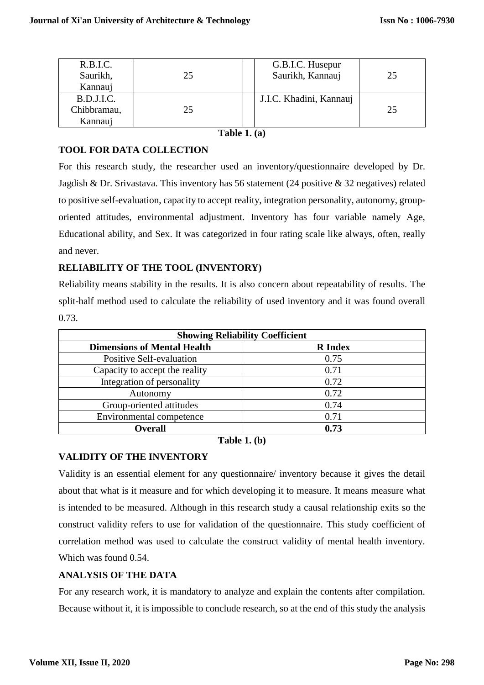| R.B.I.C.<br>Saurikh, | 25 | G.B.I.C. Husepur<br>Saurikh, Kannauj | 25 |
|----------------------|----|--------------------------------------|----|
| Kannauj              |    |                                      |    |
| B.D.J.I.C.           |    | J.I.C. Khadini, Kannauj              |    |
| Chibbramau,          | 25 |                                      | 25 |
| Kannauj              |    |                                      |    |

**Table 1. (a)**

# **TOOL FOR DATA COLLECTION**

For this research study, the researcher used an inventory/questionnaire developed by Dr. Jagdish & Dr. Srivastava. This inventory has 56 statement (24 positive & 32 negatives) related to positive self-evaluation, capacity to accept reality, integration personality, autonomy, grouporiented attitudes, environmental adjustment. Inventory has four variable namely Age, Educational ability, and Sex. It was categorized in four rating scale like always, often, really and never.

# **RELIABILITY OF THE TOOL (INVENTORY)**

Reliability means stability in the results. It is also concern about repeatability of results. The split-half method used to calculate the reliability of used inventory and it was found overall 0.73.

| <b>Showing Reliability Coefficient</b> |                |  |  |  |
|----------------------------------------|----------------|--|--|--|
| <b>Dimensions of Mental Health</b>     | <b>R</b> Index |  |  |  |
| <b>Positive Self-evaluation</b>        | 0.75           |  |  |  |
| Capacity to accept the reality         | 0.71           |  |  |  |
| Integration of personality             | 0.72           |  |  |  |
| Autonomy                               | 0.72           |  |  |  |
| Group-oriented attitudes               | 0.74           |  |  |  |
| Environmental competence               | 0.71           |  |  |  |
| <b>Overall</b>                         | 0.73           |  |  |  |

**Table 1. (b)**

# **VALIDITY OF THE INVENTORY**

Validity is an essential element for any questionnaire/ inventory because it gives the detail about that what is it measure and for which developing it to measure. It means measure what is intended to be measured. Although in this research study a causal relationship exits so the construct validity refers to use for validation of the questionnaire. This study coefficient of correlation method was used to calculate the construct validity of mental health inventory. Which was found 0.54.

# **ANALYSIS OF THE DATA**

For any research work, it is mandatory to analyze and explain the contents after compilation. Because without it, it is impossible to conclude research, so at the end of this study the analysis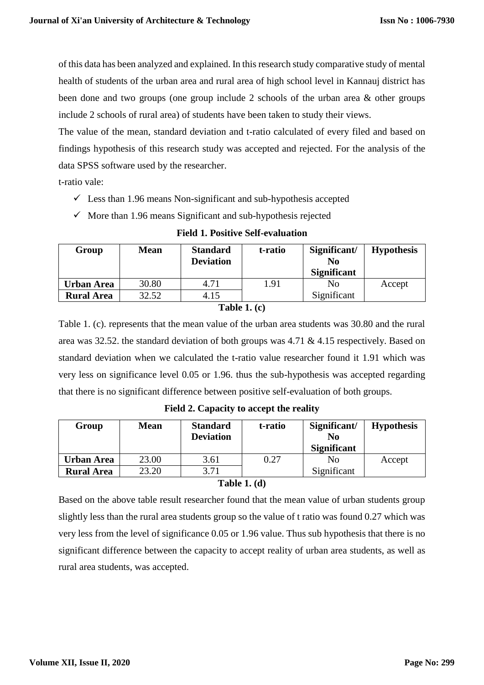of this data has been analyzed and explained. In this research study comparative study of mental health of students of the urban area and rural area of high school level in Kannauj district has been done and two groups (one group include 2 schools of the urban area & other groups include 2 schools of rural area) of students have been taken to study their views.

The value of the mean, standard deviation and t-ratio calculated of every filed and based on findings hypothesis of this research study was accepted and rejected. For the analysis of the data SPSS software used by the researcher.

t-ratio vale:

- $\checkmark$  Less than 1.96 means Non-significant and sub-hypothesis accepted
- $\checkmark$  More than 1.96 means Significant and sub-hypothesis rejected

| Group             | <b>Mean</b> | <b>Standard</b><br><b>Deviation</b> | t-ratio | Significant/<br>No<br><b>Significant</b> | <b>Hypothesis</b> |
|-------------------|-------------|-------------------------------------|---------|------------------------------------------|-------------------|
| Urban Area        | 30.80       | 4.71                                | 1.91    | No                                       | Accept            |
| <b>Rural Area</b> | 32.52       | 4.15                                |         | Significant                              |                   |

#### **Field 1. Positive Self-evaluation**

#### **Table 1. (c)**

Table 1. (c). represents that the mean value of the urban area students was 30.80 and the rural area was 32.52. the standard deviation of both groups was 4.71 & 4.15 respectively. Based on standard deviation when we calculated the t-ratio value researcher found it 1.91 which was very less on significance level 0.05 or 1.96. thus the sub-hypothesis was accepted regarding that there is no significant difference between positive self-evaluation of both groups.

| Group                                  | <b>Mean</b>    | <b>Standard</b><br><b>Deviation</b> | t-ratio | Significant/<br>No<br><b>Significant</b> | <b>Hypothesis</b> |
|----------------------------------------|----------------|-------------------------------------|---------|------------------------------------------|-------------------|
| <b>Urban Area</b><br><b>Rural Area</b> | 23.00<br>23.20 | 3.61<br>3.71                        | 0.27    | No<br>Significant                        | Accept            |
|                                        |                | $T = 11.471$                        |         |                                          |                   |

**Field 2. Capacity to accept the reality**

#### **Table 1. (d)**

Based on the above table result researcher found that the mean value of urban students group slightly less than the rural area students group so the value of t ratio was found 0.27 which was very less from the level of significance 0.05 or 1.96 value. Thus sub hypothesis that there is no significant difference between the capacity to accept reality of urban area students, as well as rural area students, was accepted.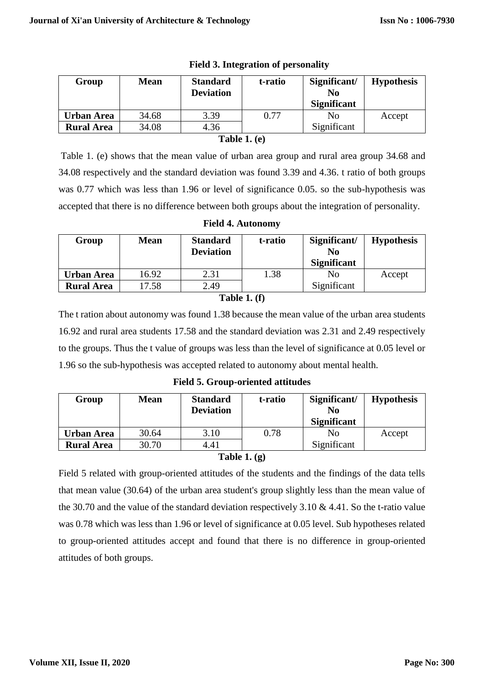|                   |       | <b>Deviation</b> |      | Significant/<br>No | <b>Hypothesis</b> |
|-------------------|-------|------------------|------|--------------------|-------------------|
|                   |       |                  |      | <b>Significant</b> |                   |
| Urban Area        | 34.68 | 3.39             | 0.77 | No                 | Accept            |
| <b>Rural Area</b> | 34.08 | 4.36             |      | Significant        |                   |

|  |  | <b>Field 3. Integration of personality</b> |
|--|--|--------------------------------------------|
|--|--|--------------------------------------------|

#### **Table 1. (e)**

Table 1. (e) shows that the mean value of urban area group and rural area group 34.68 and 34.08 respectively and the standard deviation was found 3.39 and 4.36. t ratio of both groups was 0.77 which was less than 1.96 or level of significance 0.05. so the sub-hypothesis was accepted that there is no difference between both groups about the integration of personality.

| Group             | <b>Mean</b> | <b>Standard</b><br><b>Deviation</b> | t-ratio | Significant/<br>N <sub>0</sub><br><b>Significant</b> | <b>Hypothesis</b> |
|-------------------|-------------|-------------------------------------|---------|------------------------------------------------------|-------------------|
| Urban Area        | 16.92       | 2.31                                | 1.38    | No                                                   | Accept            |
| <b>Rural Area</b> | 17.58       | 2.49                                |         | Significant                                          |                   |

#### **Table 1. (f)**

The t ration about autonomy was found 1.38 because the mean value of the urban area students 16.92 and rural area students 17.58 and the standard deviation was 2.31 and 2.49 respectively to the groups. Thus the t value of groups was less than the level of significance at 0.05 level or 1.96 so the sub-hypothesis was accepted related to autonomy about mental health.

**Field 5. Group-oriented attitudes**

| Group             | <b>Mean</b> | <b>Standard</b><br><b>Deviation</b> | t-ratio | Significant/<br>N <sub>0</sub><br><b>Significant</b> | <b>Hypothesis</b> |
|-------------------|-------------|-------------------------------------|---------|------------------------------------------------------|-------------------|
| <b>Urban Area</b> | 30.64       | 3.10                                | 0.78    | N <sub>0</sub>                                       | Accept            |
| <b>Rural Area</b> | 30.70       | 4.41                                |         | Significant                                          |                   |

# **Table 1. (g)**

Field 5 related with group-oriented attitudes of the students and the findings of the data tells that mean value (30.64) of the urban area student's group slightly less than the mean value of the 30.70 and the value of the standard deviation respectively 3.10 & 4.41. So the t-ratio value was 0.78 which was less than 1.96 or level of significance at 0.05 level. Sub hypotheses related to group-oriented attitudes accept and found that there is no difference in group-oriented attitudes of both groups.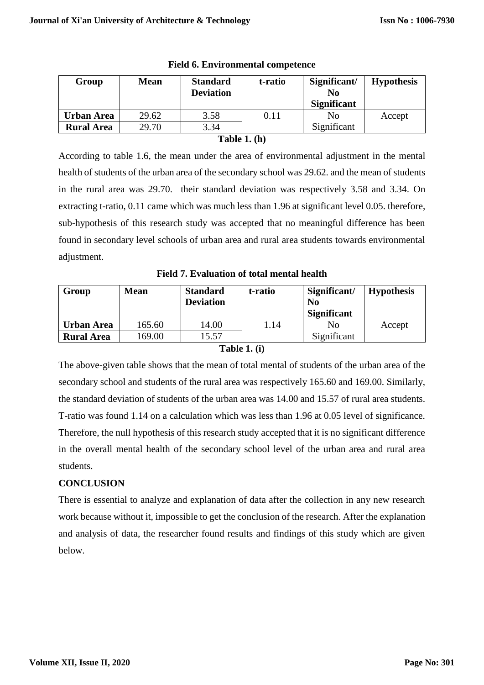|                   |       | <b>Deviation</b> |      | N <sub>0</sub><br><b>Significant</b> |        |
|-------------------|-------|------------------|------|--------------------------------------|--------|
| <b>Urban Area</b> | 29.62 | 3.58             | 0.11 | No                                   | Accept |
| <b>Rural Area</b> | 29.70 | 3.34             |      | Significant                          |        |

**Field 6. Environmental competence**

#### **Table 1. (h)**

According to table 1.6, the mean under the area of environmental adjustment in the mental health of students of the urban area of the secondary school was 29.62. and the mean of students in the rural area was 29.70. their standard deviation was respectively 3.58 and 3.34. On extracting t-ratio, 0.11 came which was much less than 1.96 at significant level 0.05. therefore, sub-hypothesis of this research study was accepted that no meaningful difference has been found in secondary level schools of urban area and rural area students towards environmental adjustment.

**Field 7. Evaluation of total mental health**

| Group             | <b>Mean</b> | <b>Standard</b><br><b>Deviation</b> | t-ratio | Significant/<br>N <sub>0</sub><br><b>Significant</b> | <b>Hypothesis</b> |
|-------------------|-------------|-------------------------------------|---------|------------------------------------------------------|-------------------|
| Urban Area        | 165.60      | 14.00                               | .14     | N <sub>0</sub>                                       | Accept            |
| <b>Rural Area</b> | 69.00       | 15.57                               |         | Significant                                          |                   |
|                   |             | .                                   | $\sim$  |                                                      |                   |

#### **Table 1. (i)**

The above-given table shows that the mean of total mental of students of the urban area of the secondary school and students of the rural area was respectively 165.60 and 169.00. Similarly, the standard deviation of students of the urban area was 14.00 and 15.57 of rural area students. T-ratio was found 1.14 on a calculation which was less than 1.96 at 0.05 level of significance. Therefore, the null hypothesis of this research study accepted that it is no significant difference in the overall mental health of the secondary school level of the urban area and rural area students.

# **CONCLUSION**

There is essential to analyze and explanation of data after the collection in any new research work because without it, impossible to get the conclusion of the research. After the explanation and analysis of data, the researcher found results and findings of this study which are given below.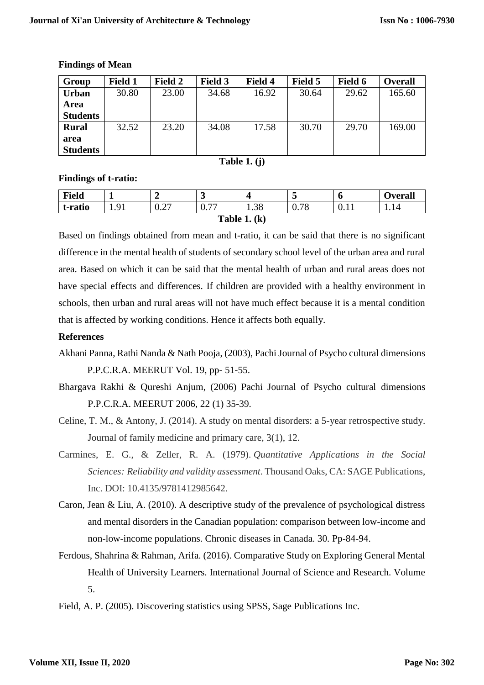| Group                   | Field 1 | <b>Field 2</b> | <b>Field 3</b> | <b>Field 4</b> | Field 5 | Field 6 | <b>Overall</b> |
|-------------------------|---------|----------------|----------------|----------------|---------|---------|----------------|
| <b>Urban</b>            | 30.80   | 23.00          | 34.68          | 16.92          | 30.64   | 29.62   | 165.60         |
| Area                    |         |                |                |                |         |         |                |
| <b>Students</b>         |         |                |                |                |         |         |                |
| <b>Rural</b>            | 32.52   | 23.20          | 34.08          | 17.58          | 30.70   | 29.70   | 169.00         |
| area<br><b>Students</b> |         |                |                |                |         |         |                |

#### **Findings of Mean**

**Table 1. (j)**

# **Findings of t-ratio:**

| <b>Field</b>   | ж.         | -                                          | ັ                                             |      | ັ    | υ     | <b>Overall</b> |  |  |  |
|----------------|------------|--------------------------------------------|-----------------------------------------------|------|------|-------|----------------|--|--|--|
| t-ratio        | 1. <i></i> | $\bigcap$<br>$\mathbf{U} \cdot \mathbf{L}$ | $\overline{a}$<br>$\mathsf{U}$ . $\mathsf{I}$ | 1.38 | 0.78 | v. 11 | 1.14           |  |  |  |
| Table 1. $(k)$ |            |                                            |                                               |      |      |       |                |  |  |  |

Based on findings obtained from mean and t-ratio, it can be said that there is no significant difference in the mental health of students of secondary school level of the urban area and rural area. Based on which it can be said that the mental health of urban and rural areas does not have special effects and differences. If children are provided with a healthy environment in schools, then urban and rural areas will not have much effect because it is a mental condition that is affected by working conditions. Hence it affects both equally.

# **References**

- Akhani Panna, Rathi Nanda & Nath Pooja, (2003), Pachi Journal of Psycho cultural dimensions P.P.C.R.A. MEERUT Vol. 19, pp- 51-55.
- Bhargava Rakhi & Qureshi Anjum, (2006) Pachi Journal of Psycho cultural dimensions P.P.C.R.A. MEERUT 2006, 22 (1) 35-39.
- Celine, T. M., & Antony, J. (2014). A study on mental disorders: a 5-year retrospective study. Journal of family medicine and primary care, 3(1), 12.
- Carmines, E. G., & Zeller, R. A. (1979). *Quantitative Applications in the Social Sciences: Reliability and validity assessment*. Thousand Oaks, CA: SAGE Publications, Inc. DOI: 10.4135/9781412985642.
- Caron, Jean & Liu, A. (2010). A descriptive study of the prevalence of psychological distress and mental disorders in the Canadian population: comparison between low-income and non-low-income populations. Chronic diseases in Canada. 30. Pp-84-94.
- Ferdous, Shahrina & Rahman, Arifa. (2016). Comparative Study on Exploring General Mental Health of University Learners. International Journal of Science and Research. Volume 5.
- Field, A. P. (2005). Discovering statistics using SPSS, Sage Publications Inc.